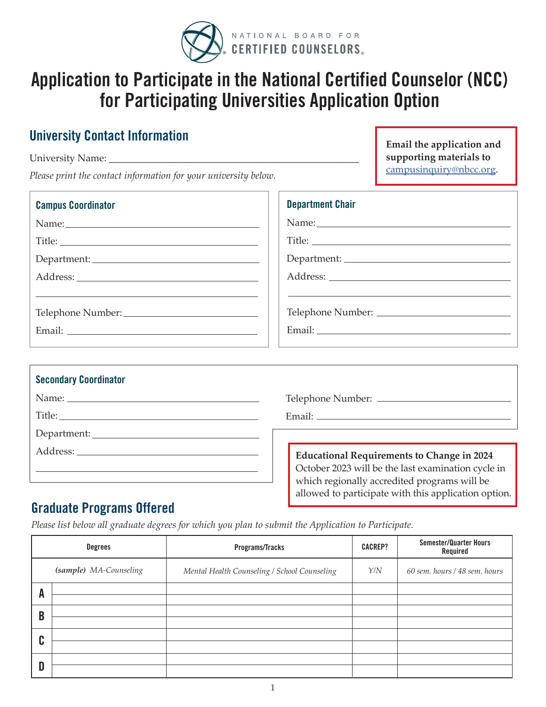

# **Application to Participate in the National Certified Counselor (NCC) for Participating Universities Application Option**

## **University Contact Information**

University Name: *Please print the contact information for your university below.* **Email the application and supporting materials to**  [campusinquiry@nbcc.org](mailto:campusinquiry@nbcc.org).

| <b>Campus Coordinator</b> | <b>Department Chair</b> |
|---------------------------|-------------------------|
|                           |                         |
|                           |                         |
|                           |                         |
|                           |                         |
|                           |                         |
|                           |                         |
|                           |                         |
|                           |                         |

| <b>Secondary Coordinator</b> |                                                                                                         |  |
|------------------------------|---------------------------------------------------------------------------------------------------------|--|
|                              |                                                                                                         |  |
|                              |                                                                                                         |  |
|                              |                                                                                                         |  |
|                              | <b>Educational Requirements to Change in 2024</b><br>October 2023 will be the last examination cycle in |  |
|                              | which regionally accredited programs will be<br>allowed to participate with this application option.    |  |

### **Graduate Programs Offered**

*Please list below all graduate degrees for which you plan to submit the Application to Participate.* 

|        | Degrees                | Programs/Tracks                              | <b>CACREP?</b> | <b>Semester/Quarter Hours</b><br>Required |
|--------|------------------------|----------------------------------------------|----------------|-------------------------------------------|
|        | (sample) MA-Counseling | Mental Health Counseling / School Counseling | Y/N            | 60 sem. hours / 48 sem. hours             |
| A      |                        |                                              |                |                                           |
| B      |                        |                                              |                |                                           |
| C<br>υ |                        |                                              |                |                                           |
|        |                        |                                              |                |                                           |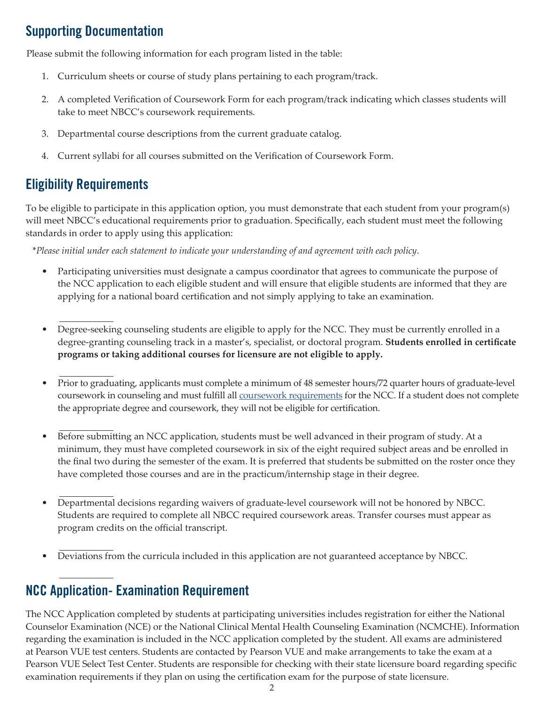# **Supporting Documentation**

Please submit the following information for each program listed in the table:

- 1. Curriculum sheets or course of study plans pertaining to each program/track.
- 2. A completed Verification of Coursework Form for each program/track indicating which classes students will take to meet NBCC's coursework requirements.
- 3. Departmental course descriptions from the current graduate catalog.
- 4. Current syllabi for all courses submitted on the Verification of Coursework Form.

### **Eligibility Requirements**

To be eligible to participate in this application option, you must demonstrate that each student from your program(s) will meet NBCC's educational requirements prior to graduation. Specifically, each student must meet the following standards in order to apply using this application:

\**Please initial under each statement to indicate your understanding of and agreement with each policy*.

- Participating universities must designate a campus coordinator that agrees to communicate the purpose of the NCC application to each eligible student and will ensure that eligible students are informed that they are applying for a national board certification and not simply applying to take an examination.
- Degree-seeking counseling students are eligible to apply for the NCC. They must be currently enrolled in a degree-granting counseling track in a master's, specialist, or doctoral program. **Students enrolled in certificate programs or taking additional courses for licensure are not eligible to apply.**
- Prior to graduating, applicants must complete a minimum of 48 semester hours/72 quarter hours of graduate-level coursework in counseling and must fulfill all *coursework requirements* for the NCC. If a student does not complete the appropriate degree and coursework, they will not be eligible for certification.
- Before submitting an NCC application, students must be well advanced in their program of study. At a minimum, they must have completed coursework in six of the eight required subject areas and be enrolled in the final two during the semester of the exam. It is preferred that students be submitted on the roster once they have completed those courses and are in the practicum/internship stage in their degree.
- Departmental decisions regarding waivers of graduate-level coursework will not be honored by NBCC. Students are required to complete all NBCC required coursework areas. Transfer courses must appear as program credits on the official transcript.
- Deviations from the curricula included in this application are not guaranteed acceptance by NBCC.

# **NCC Application- Examination Requirement**

The NCC Application completed by students at participating universities includes registration for either the National Counselor Examination (NCE) or the National Clinical Mental Health Counseling Examination (NCMCHE). Information regarding the examination is included in the NCC application completed by the student. All exams are administered at Pearson VUE test centers. Students are contacted by Pearson VUE and make arrangements to take the exam at a Pearson VUE Select Test Center. Students are responsible for checking with their state licensure board regarding specific examination requirements if they plan on using the certification exam for the purpose of state licensure.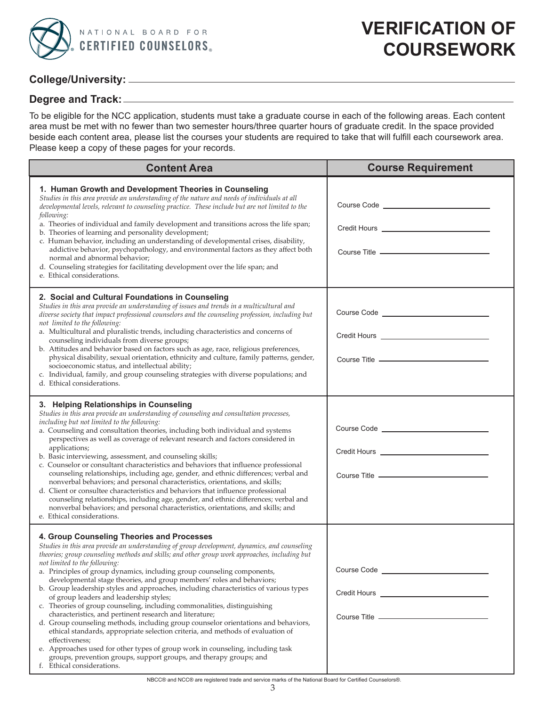

#### **College/University:**

#### **Degree and Track:**

To be eligible for the NCC application, students must take a graduate course in each of the following areas. Each content area must be met with no fewer than two semester hours/three quarter hours of graduate credit. In the space provided beside each content area, please list the courses your students are required to take that will fulfill each coursework area. Please keep a copy of these pages for your records.

| <b>Content Area</b>                                                                                                                                                                                                                                                                                                                                                                                                                                                                                                                                                                                                                                                                                                                                                                                                                                                                                                                                                                                                                                                                          | <b>Course Requirement</b>                                                                               |  |  |
|----------------------------------------------------------------------------------------------------------------------------------------------------------------------------------------------------------------------------------------------------------------------------------------------------------------------------------------------------------------------------------------------------------------------------------------------------------------------------------------------------------------------------------------------------------------------------------------------------------------------------------------------------------------------------------------------------------------------------------------------------------------------------------------------------------------------------------------------------------------------------------------------------------------------------------------------------------------------------------------------------------------------------------------------------------------------------------------------|---------------------------------------------------------------------------------------------------------|--|--|
| 1. Human Growth and Development Theories in Counseling<br>Studies in this area provide an understanding of the nature and needs of individuals at all<br>developmental levels, relevant to counseling practice. These include but are not limited to the<br>following:<br>a. Theories of individual and family development and transitions across the life span;<br>b. Theories of learning and personality development;<br>c. Human behavior, including an understanding of developmental crises, disability,<br>addictive behavior, psychopathology, and environmental factors as they affect both<br>normal and abnormal behavior;<br>d. Counseling strategies for facilitating development over the life span; and<br>e. Ethical considerations.                                                                                                                                                                                                                                                                                                                                         |                                                                                                         |  |  |
| 2. Social and Cultural Foundations in Counseling<br>Studies in this area provide an understanding of issues and trends in a multicultural and<br>diverse society that impact professional counselors and the counseling profession, including but<br>not limited to the following:<br>a. Multicultural and pluralistic trends, including characteristics and concerns of<br>counseling individuals from diverse groups;<br>b. Attitudes and behavior based on factors such as age, race, religious preferences,<br>physical disability, sexual orientation, ethnicity and culture, family patterns, gender,<br>socioeconomic status, and intellectual ability;<br>c. Individual, family, and group counseling strategies with diverse populations; and<br>d. Ethical considerations.                                                                                                                                                                                                                                                                                                         | Credit Hours <u>______________________________</u><br>Course Title _______________                      |  |  |
| 3. Helping Relationships in Counseling<br>Studies in this area provide an understanding of counseling and consultation processes,<br>including but not limited to the following:<br>a. Counseling and consultation theories, including both individual and systems<br>perspectives as well as coverage of relevant research and factors considered in<br>applications;<br>b. Basic interviewing, assessment, and counseling skills;<br>c. Counselor or consultant characteristics and behaviors that influence professional<br>counseling relationships, including age, gender, and ethnic differences; verbal and<br>nonverbal behaviors; and personal characteristics, orientations, and skills;<br>d. Client or consultee characteristics and behaviors that influence professional<br>counseling relationships, including age, gender, and ethnic differences; verbal and<br>nonverbal behaviors; and personal characteristics, orientations, and skills; and<br>e. Ethical considerations.                                                                                              |                                                                                                         |  |  |
| 4. Group Counseling Theories and Processes<br>Studies in this area provide an understanding of group development, dynamics, and counseling<br>theories; group counseling methods and skills; and other group work approaches, including but<br>not limited to the following:<br>a. Principles of group dynamics, including group counseling components,<br>developmental stage theories, and group members' roles and behaviors;<br>b. Group leadership styles and approaches, including characteristics of various types<br>of group leaders and leadership styles;<br>c. Theories of group counseling, including commonalities, distinguishing<br>characteristics, and pertinent research and literature;<br>d. Group counseling methods, including group counselor orientations and behaviors,<br>ethical standards, appropriate selection criteria, and methods of evaluation of<br>effectiveness;<br>e. Approaches used for other types of group work in counseling, including task<br>groups, prevention groups, support groups, and therapy groups; and<br>f. Ethical considerations. | Course Code <u>_________________________</u><br>Credit Hours <u>___________________________________</u> |  |  |